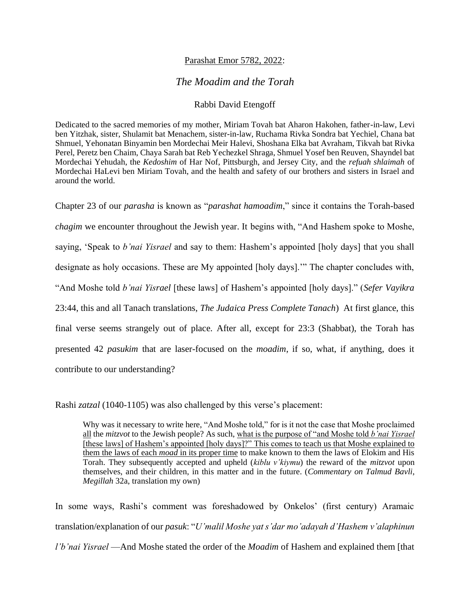## Parashat Emor 5782, 2022:

## *The Moadim and the Torah*

## Rabbi David Etengoff

Dedicated to the sacred memories of my mother, Miriam Tovah bat Aharon Hakohen, father-in-law, Levi ben Yitzhak, sister, Shulamit bat Menachem, sister-in-law, Ruchama Rivka Sondra bat Yechiel, Chana bat Shmuel, Yehonatan Binyamin ben Mordechai Meir Halevi, Shoshana Elka bat Avraham, Tikvah bat Rivka Perel, Peretz ben Chaim, Chaya Sarah bat Reb Yechezkel Shraga, Shmuel Yosef ben Reuven, Shayndel bat Mordechai Yehudah, the *Kedoshim* of Har Nof, Pittsburgh, and Jersey City, and the *refuah shlaimah* of Mordechai HaLevi ben Miriam Tovah, and the health and safety of our brothers and sisters in Israel and around the world.

Chapter 23 of our *parasha* is known as "*parashat hamoadim*," since it contains the Torah-based *chagim* we encounter throughout the Jewish year. It begins with, "And Hashem spoke to Moshe, saying, 'Speak to *b'nai Yisrael* and say to them: Hashem's appointed [holy days] that you shall designate as holy occasions. These are My appointed [holy days].'" The chapter concludes with, "And Moshe told *b'nai Yisrael* [these laws] of Hashem's appointed [holy days]." (*Sefer Vayikra*  23:44, this and all Tanach translations, *The Judaica Press Complete Tanach*) At first glance, this final verse seems strangely out of place. After all, except for 23:3 (Shabbat), the Torah has presented 42 *pasukim* that are laser-focused on the *moadim*, if so, what, if anything, does it contribute to our understanding?

Rashi *zatzal* (1040-1105) was also challenged by this verse's placement:

Why was it necessary to write here, "And Moshe told," for is it not the case that Moshe proclaimed all the *mitzvot* to the Jewish people? As such, what is the purpose of "and Moshe told *b'nai Yisrael* [these laws] of Hashem's appointed [holy days]?" This comes to teach us that Moshe explained to them the laws of each *moad* in its proper time to make known to them the laws of Elokim and His Torah. They subsequently accepted and upheld (*kiblu v'kiymu*) the reward of the *mitzvot* upon themselves, and their children, in this matter and in the future. (*Commentary on Talmud Bavli*, *Megillah* 32a, translation my own)

In some ways, Rashi's comment was foreshadowed by Onkelos' (first century) Aramaic translation/explanation of our *pasuk*: "*U'malil Moshe yat s'dar mo'adayah d'Hashem v'alaphinun l'b'nai Yisrael* —And Moshe stated the order of the *Moadim* of Hashem and explained them [that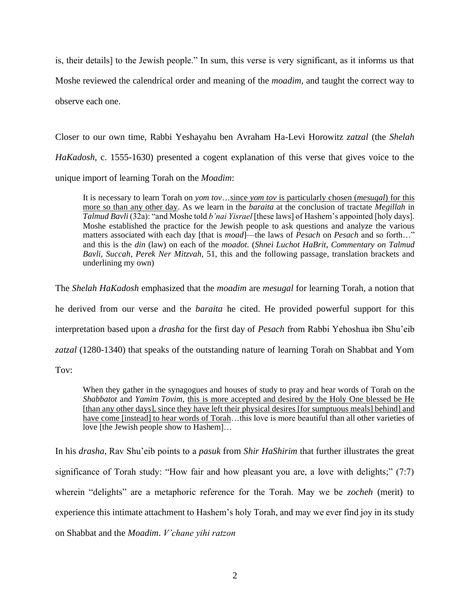is, their details] to the Jewish people." In sum, this verse is very significant, as it informs us that Moshe reviewed the calendrical order and meaning of the *moadim*, and taught the correct way to observe each one.

Closer to our own time, Rabbi Yeshayahu ben Avraham Ha-Levi Horowitz *zatzal* (the *Shelah HaKadosh*, c. 1555-1630) presented a cogent explanation of this verse that gives voice to the unique import of learning Torah on the *Moadim*:

It is necessary to learn Torah on *yom tov*…since *yom tov* is particularly chosen (*mesugal*) for this more so than any other day. As we learn in the *baraita* at the conclusion of tractate *Megillah* in *Talmud Bavli* (32a): "and Moshe told *b'nai Yisrael* [these laws] of Hashem's appointed [holy days]. Moshe established the practice for the Jewish people to ask questions and analyze the various matters associated with each day [that is *moad*]—the laws of *Pesach* on *Pesach* and so forth…" and this is the *din* (law) on each of the *moadot*. (*Shnei Luchot HaBrit*, *Commentary on Talmud Bavli*, *Succah*, *Perek Ner Mitzvah*, 51, this and the following passage, translation brackets and underlining my own)

The *Shelah HaKadosh* emphasized that the *moadim* are *mesugal* for learning Torah, a notion that he derived from our verse and the *baraita* he cited. He provided powerful support for this interpretation based upon a *drasha* for the first day of *Pesach* from Rabbi Yehoshua ibn Shu'eib *zatzal* (1280-1340) that speaks of the outstanding nature of learning Torah on Shabbat and Yom Tov:

When they gather in the synagogues and houses of study to pray and hear words of Torah on the *Shabbatot* and *Yamim Tovim*, this is more accepted and desired by the Holy One blessed be He [than any other days], since they have left their physical desires [for sumptuous meals] behind] and have come [instead] to hear words of Torah...this love is more beautiful than all other varieties of love [the Jewish people show to Hashem]…

In his *drasha*, Rav Shu'eib points to a *pasuk* from *Shir HaShirim* that further illustrates the great significance of Torah study: "How fair and how pleasant you are, a love with delights;" (7:7) wherein "delights" are a metaphoric reference for the Torah. May we be *zocheh* (merit) to experience this intimate attachment to Hashem's holy Torah, and may we ever find joy in its study on Shabbat and the *Moadim*. *V'chane yihi ratzon*